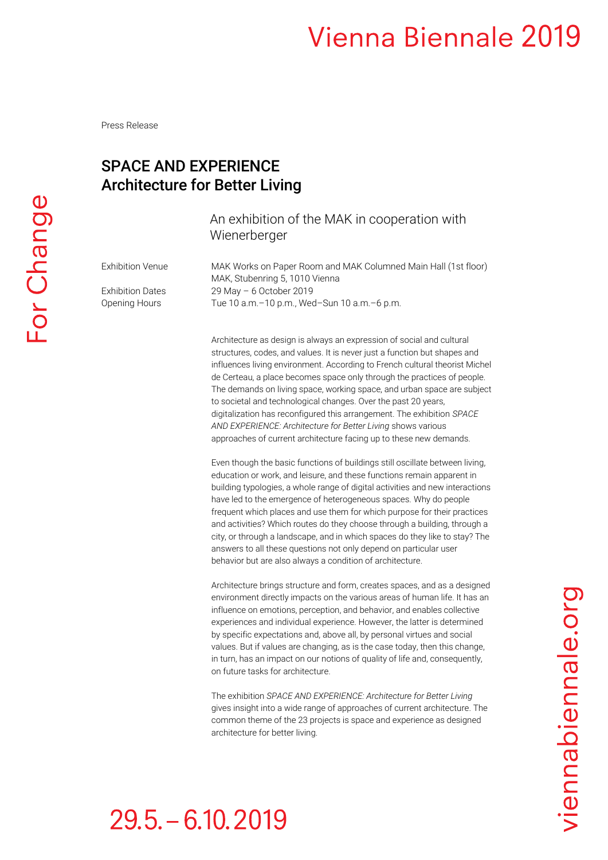Press Release

#### SPACE AND EXPERIENCE Architecture for Better Living

#### An exhibition of the MAK in cooperation with Wienerberger

Exhibition Venue MAK Works on Paper Room and MAK Columned Main Hall (1st floor) MAK, Stubenring 5, 1010 Vienna Exhibition Dates 29 May - 6 October 2019 Opening Hours Tue 10 a.m.–10 p.m., Wed–Sun 10 a.m.–6 p.m.

> Architecture as design is always an expression of social and cultural structures, codes, and values. It is never just a function but shapes and influences living environment. According to French cultural theorist Michel de Certeau, a place becomes space only through the practices of people. The demands on living space, working space, and urban space are subject to societal and technological changes. Over the past 20 years, digitalization has reconfigured this arrangement. The exhibition *SPACE AND EXPERIENCE: Architecture for Better Living* shows various approaches of current architecture facing up to these new demands.

> Even though the basic functions of buildings still oscillate between living, education or work, and leisure, and these functions remain apparent in building typologies, a whole range of digital activities and new interactions have led to the emergence of heterogeneous spaces. Why do people frequent which places and use them for which purpose for their practices and activities? Which routes do they choose through a building, through a city, or through a landscape, and in which spaces do they like to stay? The answers to all these questions not only depend on particular user behavior but are also always a condition of architecture.

> Architecture brings structure and form, creates spaces, and as a designed environment directly impacts on the various areas of human life. It has an influence on emotions, perception, and behavior, and enables collective experiences and individual experience. However, the latter is determined by specific expectations and, above all, by personal virtues and social values. But if values are changing, as is the case today, then this change, in turn, has an impact on our notions of quality of life and, consequently, on future tasks for architecture.

The exhibition *SPACE AND EXPERIENCE: Architecture for Better Living*  gives insight into a wide range of approaches of current architecture. The common theme of the 23 projects is space and experience as designed architecture for better living.

viennabiennale.org

# $29.5 - 6.10.2019$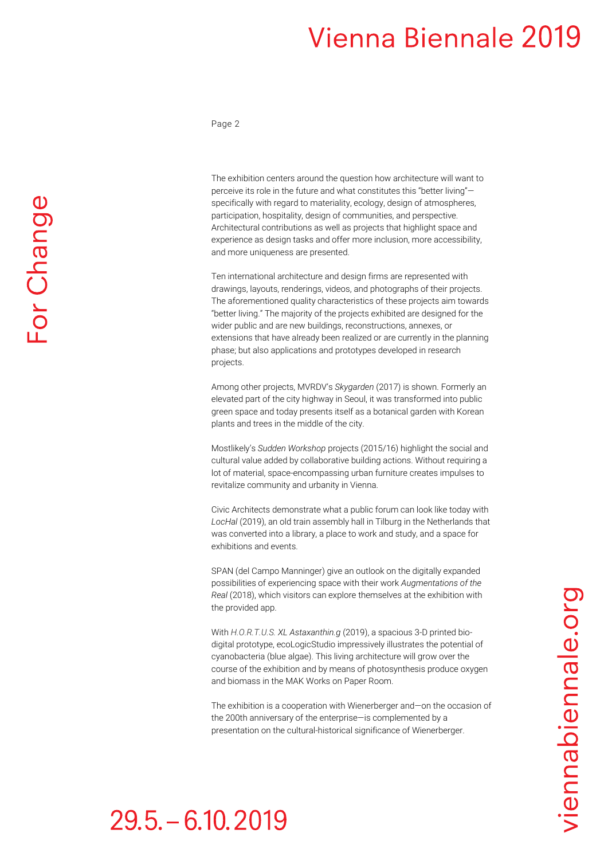Page 2

The exhibition centers around the question how architecture will want to perceive its role in the future and what constitutes this "better living" specifically with regard to materiality, ecology, design of atmospheres, participation, hospitality, design of communities, and perspective. Architectural contributions as well as projects that highlight space and experience as design tasks and offer more inclusion, more accessibility, and more uniqueness are presented.

Ten international architecture and design firms are represented with drawings, layouts, renderings, videos, and photographs of their projects. The aforementioned quality characteristics of these projects aim towards "better living." The majority of the projects exhibited are designed for the wider public and are new buildings, reconstructions, annexes, or extensions that have already been realized or are currently in the planning phase; but also applications and prototypes developed in research projects.

Among other projects, MVRDV's *Skygarden* (2017) is shown. Formerly an elevated part of the city highway in Seoul, it was transformed into public green space and today presents itself as a botanical garden with Korean plants and trees in the middle of the city.

Mostlikely's *Sudden Workshop* projects (2015/16) highlight the social and cultural value added by collaborative building actions. Without requiring a lot of material, space-encompassing urban furniture creates impulses to revitalize community and urbanity in Vienna.

Civic Architects demonstrate what a public forum can look like today with *LocHal* (2019), an old train assembly hall in Tilburg in the Netherlands that was converted into a library, a place to work and study, and a space for exhibitions and events.

SPAN (del Campo Manninger) give an outlook on the digitally expanded possibilities of experiencing space with their work *Augmentations of the Real* (2018), which visitors can explore themselves at the exhibition with the provided app.

With *H.O.R.T.U.S. XL Astaxanthin.g* (2019), a spacious 3-D printed biodigital prototype, ecoLogicStudio impressively illustrates the potential of cyanobacteria (blue algae). This living architecture will grow over the course of the exhibition and by means of photosynthesis produce oxygen and biomass in the MAK Works on Paper Room.

The exhibition is a cooperation with Wienerberger and—on the occasion of the 200th anniversary of the enterprise—is complemented by a presentation on the cultural-historical significance of Wienerberger.

viennabiennale.org

### $29.5 - 6.10, 2019$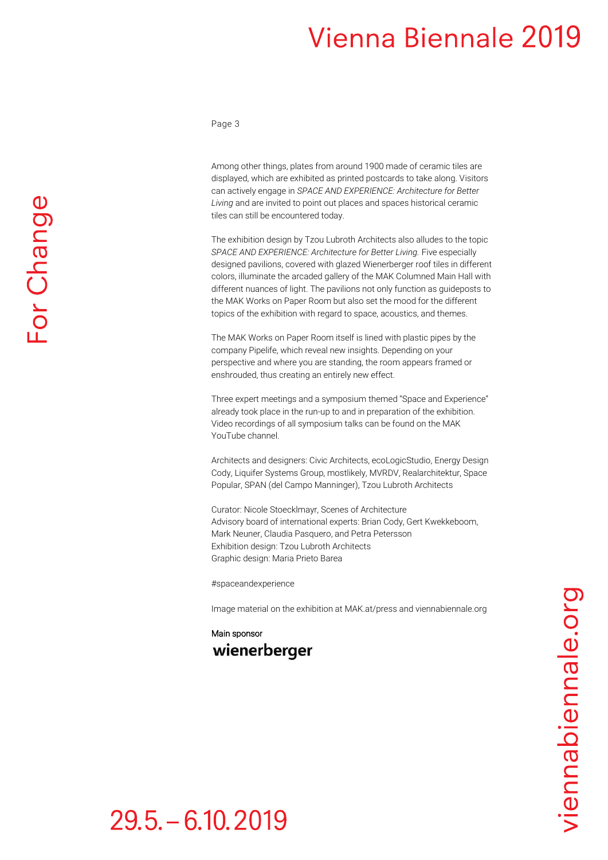Page 3

Among other things, plates from around 1900 made of ceramic tiles are displayed, which are exhibited as printed postcards to take along. Visitors can actively engage in *SPACE AND EXPERIENCE: Architecture for Better Living* and are invited to point out places and spaces historical ceramic tiles can still be encountered today.

The exhibition design by Tzou Lubroth Architects also alludes to the topic SPACE AND EXPERIENCE: Architecture for Better Living. Five especially designed pavilions, covered with glazed Wienerberger roof tiles in different colors, illuminate the arcaded gallery of the MAK Columned Main Hall with different nuances of light. The pavilions not only function as guideposts to the MAK Works on Paper Room but also set the mood for the different topics of the exhibition with regard to space, acoustics, and themes.

The MAK Works on Paper Room itself is lined with plastic pipes by the company Pipelife, which reveal new insights. Depending on your perspective and where you are standing, the room appears framed or enshrouded, thus creating an entirely new effect.

Three expert meetings and a symposium themed "Space and Experience" already took place in the run-up to and in preparation of the exhibition. Video recordings of all symposium talks can be found on the MAK YouTube channel.

Architects and designers: Civic Architects, ecoLogicStudio, Energy Design Cody, Liquifer Systems Group, mostlikely, MVRDV, Realarchitektur, Space Popular, SPAN (del Campo Manninger), Tzou Lubroth Architects

Curator: Nicole Stoecklmayr, Scenes of Architecture Advisory board of international experts: Brian Cody, Gert Kwekkeboom, Mark Neuner, Claudia Pasquero, and Petra Petersson Exhibition design: Tzou Lubroth Architects Graphic design: Maria Prieto Barea

#spaceandexperience

Image material on the exhibition at MAK.at/press and viennabiennale.org

#### Main sponsor wienerberger

## $29.5 - 6.10, 2019$